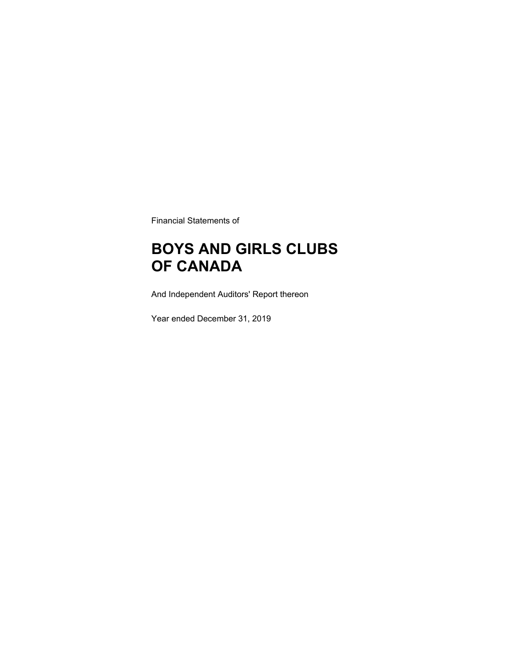Financial Statements of

# **BOYS AND GIRLS CLUBS OF CANADA**

And Independent Auditors' Report thereon

Year ended December 31, 2019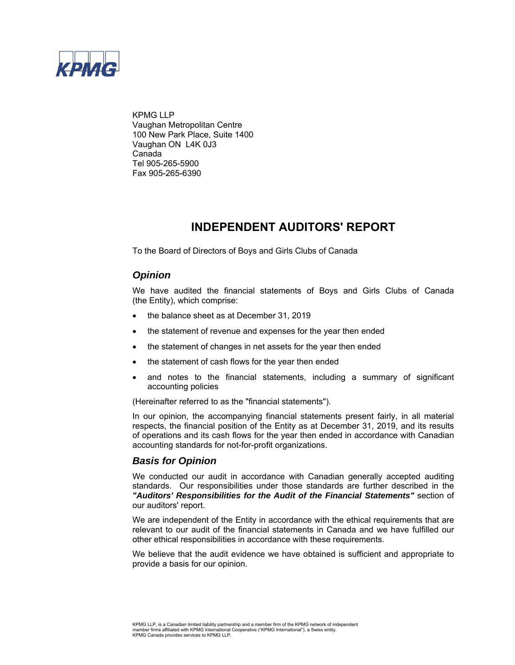

KPMG LLP Vaughan Metropolitan Centre 100 New Park Place, Suite 1400 Vaughan ON L4K 0J3 Canada Tel 905-265-5900 Fax 905-265-6390

## **INDEPENDENT AUDITORS' REPORT**

To the Board of Directors of Boys and Girls Clubs of Canada

### *Opinion*

We have audited the financial statements of Boys and Girls Clubs of Canada (the Entity), which comprise:

- the balance sheet as at December 31, 2019
- the statement of revenue and expenses for the year then ended
- the statement of changes in net assets for the year then ended
- the statement of cash flows for the year then ended
- and notes to the financial statements, including a summary of significant accounting policies

(Hereinafter referred to as the "financial statements").

In our opinion, the accompanying financial statements present fairly, in all material respects, the financial position of the Entity as at December 31, 2019, and its results of operations and its cash flows for the year then ended in accordance with Canadian accounting standards for not-for-profit organizations.

### *Basis for Opinion*

We conducted our audit in accordance with Canadian generally accepted auditing standards. Our responsibilities under those standards are further described in the *"Auditors' Responsibilities for the Audit of the Financial Statements"* section of our auditors' report.

We are independent of the Entity in accordance with the ethical requirements that are relevant to our audit of the financial statements in Canada and we have fulfilled our other ethical responsibilities in accordance with these requirements.

We believe that the audit evidence we have obtained is sufficient and appropriate to provide a basis for our opinion.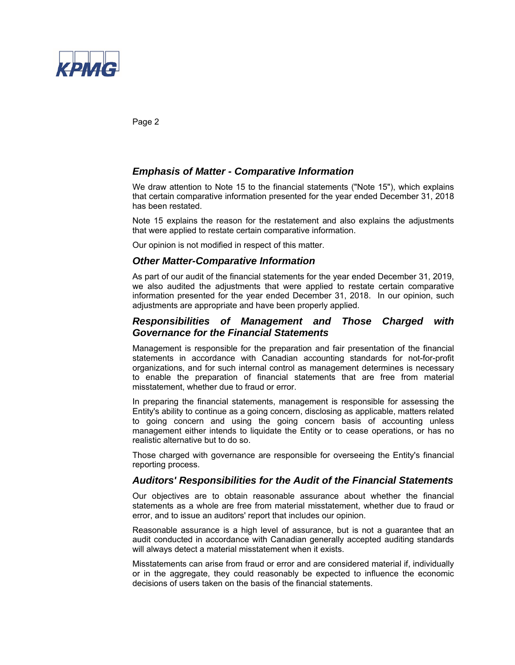

Page 2

### *Emphasis of Matter - Comparative Information*

We draw attention to Note 15 to the financial statements ("Note 15"), which explains that certain comparative information presented for the year ended December 31, 2018 has been restated.

Note 15 explains the reason for the restatement and also explains the adjustments that were applied to restate certain comparative information.

Our opinion is not modified in respect of this matter.

### *Other Matter-Comparative Information*

As part of our audit of the financial statements for the year ended December 31, 2019, we also audited the adjustments that were applied to restate certain comparative information presented for the year ended December 31, 2018. In our opinion, such adjustments are appropriate and have been properly applied.

### *Responsibilities of Management and Those Charged with Governance for the Financial Statements*

Management is responsible for the preparation and fair presentation of the financial statements in accordance with Canadian accounting standards for not-for-profit organizations, and for such internal control as management determines is necessary to enable the preparation of financial statements that are free from material misstatement, whether due to fraud or error.

In preparing the financial statements, management is responsible for assessing the Entity's ability to continue as a going concern, disclosing as applicable, matters related to going concern and using the going concern basis of accounting unless management either intends to liquidate the Entity or to cease operations, or has no realistic alternative but to do so.

Those charged with governance are responsible for overseeing the Entity's financial reporting process.

### *Auditors' Responsibilities for the Audit of the Financial Statements*

Our objectives are to obtain reasonable assurance about whether the financial statements as a whole are free from material misstatement, whether due to fraud or error, and to issue an auditors' report that includes our opinion.

Reasonable assurance is a high level of assurance, but is not a guarantee that an audit conducted in accordance with Canadian generally accepted auditing standards will always detect a material misstatement when it exists.

Misstatements can arise from fraud or error and are considered material if, individually or in the aggregate, they could reasonably be expected to influence the economic decisions of users taken on the basis of the financial statements.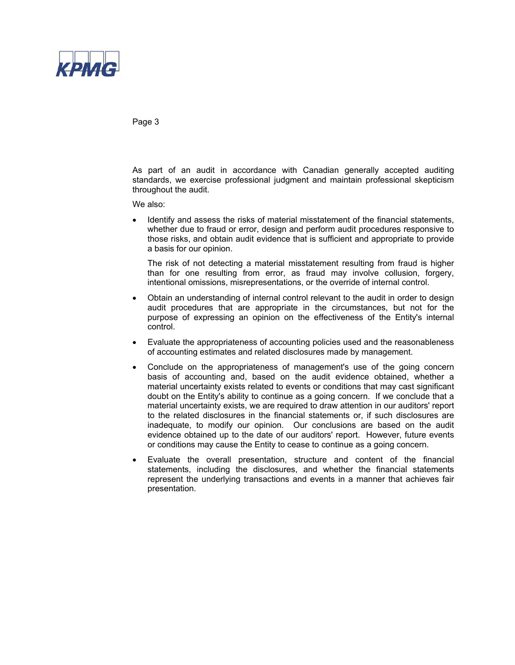

Page 3

As part of an audit in accordance with Canadian generally accepted auditing standards, we exercise professional judgment and maintain professional skepticism throughout the audit.

We also:

 Identify and assess the risks of material misstatement of the financial statements, whether due to fraud or error, design and perform audit procedures responsive to those risks, and obtain audit evidence that is sufficient and appropriate to provide a basis for our opinion.

The risk of not detecting a material misstatement resulting from fraud is higher than for one resulting from error, as fraud may involve collusion, forgery, intentional omissions, misrepresentations, or the override of internal control.

- Obtain an understanding of internal control relevant to the audit in order to design audit procedures that are appropriate in the circumstances, but not for the purpose of expressing an opinion on the effectiveness of the Entity's internal control.
- Evaluate the appropriateness of accounting policies used and the reasonableness of accounting estimates and related disclosures made by management.
- Conclude on the appropriateness of management's use of the going concern basis of accounting and, based on the audit evidence obtained, whether a material uncertainty exists related to events or conditions that may cast significant doubt on the Entity's ability to continue as a going concern. If we conclude that a material uncertainty exists, we are required to draw attention in our auditors' report to the related disclosures in the financial statements or, if such disclosures are inadequate, to modify our opinion. Our conclusions are based on the audit evidence obtained up to the date of our auditors' report. However, future events or conditions may cause the Entity to cease to continue as a going concern.
- Evaluate the overall presentation, structure and content of the financial statements, including the disclosures, and whether the financial statements represent the underlying transactions and events in a manner that achieves fair presentation.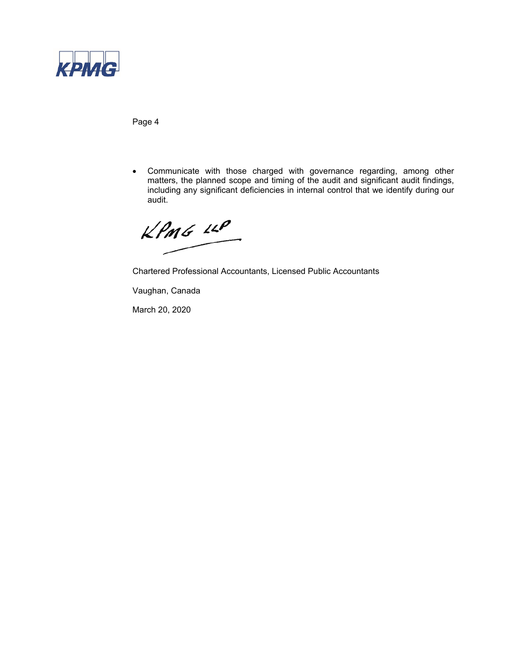

Page 4

 Communicate with those charged with governance regarding, among other matters, the planned scope and timing of the audit and significant audit findings, including any significant deficiencies in internal control that we identify during our audit.

 $KPMG$  14P

Chartered Professional Accountants, Licensed Public Accountants

Vaughan, Canada

March 20, 2020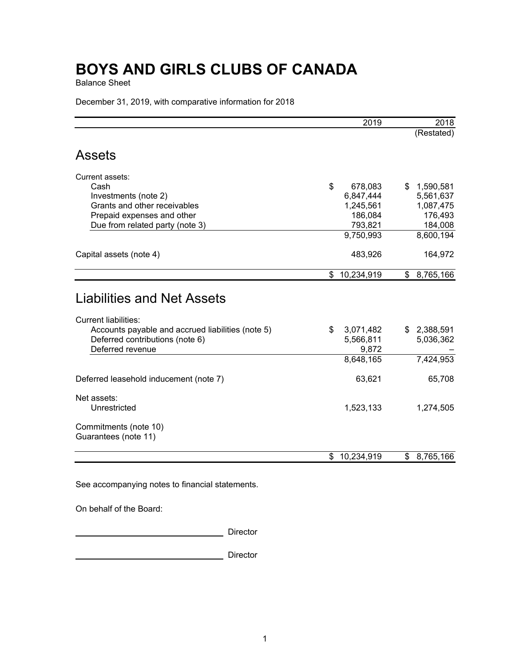Balance Sheet

#### December 31, 2019, with comparative information for 2018

|                                                     | 2019               | 2018            |
|-----------------------------------------------------|--------------------|-----------------|
|                                                     |                    | (Restated)      |
| <b>Assets</b>                                       |                    |                 |
| Current assets:                                     |                    |                 |
| Cash                                                | \$<br>678,083      | \$1,590,581     |
| Investments (note 2)                                | 6,847,444          | 5,561,637       |
| Grants and other receivables                        | 1,245,561          | 1,087,475       |
| Prepaid expenses and other                          | 186,084            | 176,493         |
| Due from related party (note 3)                     | 793,821            | 184,008         |
|                                                     | 9,750,993          | 8,600,194       |
| Capital assets (note 4)                             | 483,926            | 164,972         |
|                                                     | \$10,234,919       | \$<br>8,765,166 |
| <b>Liabilities and Net Assets</b>                   |                    |                 |
| <b>Current liabilities:</b>                         |                    |                 |
| Accounts payable and accrued liabilities (note 5)   | \$<br>3,071,482    | \$2,388,591     |
| Deferred contributions (note 6)<br>Deferred revenue | 5,566,811<br>9,872 | 5,036,362       |
|                                                     | 8,648,165          | 7,424,953       |
| Deferred leasehold inducement (note 7)              | 63,621             | 65,708          |
| Net assets:                                         |                    |                 |
|                                                     |                    |                 |
| Unrestricted                                        | 1,523,133          | 1,274,505       |
| Commitments (note 10)<br>Guarantees (note 11)       |                    |                 |

See accompanying notes to financial statements.

On behalf of the Board:

Director

**Director** Director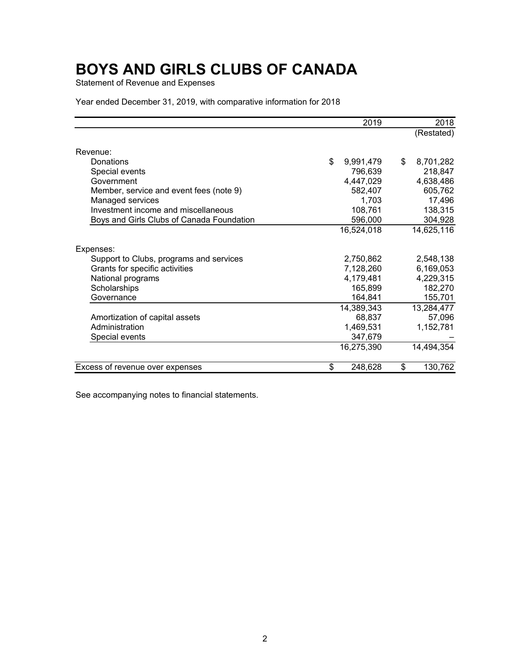Statement of Revenue and Expenses

Year ended December 31, 2019, with comparative information for 2018

|                                           | 2019            | 2018            |
|-------------------------------------------|-----------------|-----------------|
|                                           |                 | (Restated)      |
| Revenue:                                  |                 |                 |
| Donations                                 | \$<br>9,991,479 | \$<br>8,701,282 |
| Special events                            | 796,639         | 218,847         |
| Government                                | 4,447,029       | 4,638,486       |
| Member, service and event fees (note 9)   | 582,407         | 605,762         |
| Managed services                          | 1,703           | 17,496          |
| Investment income and miscellaneous       | 108,761         | 138,315         |
| Boys and Girls Clubs of Canada Foundation | 596,000         | 304,928         |
|                                           | 16,524,018      | 14,625,116      |
| Expenses:                                 |                 |                 |
| Support to Clubs, programs and services   | 2,750,862       | 2,548,138       |
| Grants for specific activities            | 7,128,260       | 6,169,053       |
| National programs                         | 4,179,481       | 4,229,315       |
| Scholarships                              | 165,899         | 182,270         |
| Governance                                | 164,841         | 155,701         |
|                                           | 14,389,343      | 13,284,477      |
| Amortization of capital assets            | 68,837          | 57,096          |
| Administration                            | 1,469,531       | 1,152,781       |
| Special events                            | 347,679         |                 |
|                                           | 16,275,390      | 14,494,354      |
| Excess of revenue over expenses           | \$<br>248,628   | 130,762<br>\$   |

See accompanying notes to financial statements.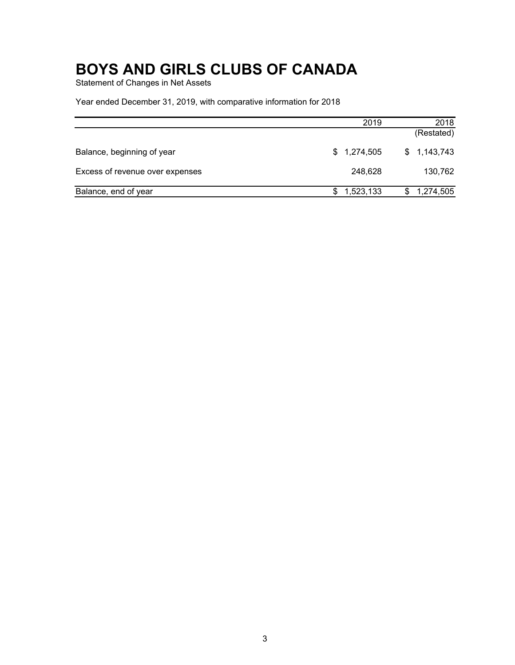Statement of Changes in Net Assets

Year ended December 31, 2019, with comparative information for 2018

|                                 | 2019        | 2018        |
|---------------------------------|-------------|-------------|
|                                 |             | (Restated)  |
| Balance, beginning of year      | \$1,274,505 | \$1,143,743 |
| Excess of revenue over expenses | 248,628     | 130,762     |
| Balance, end of year            | 1,523,133   | 1,274,505   |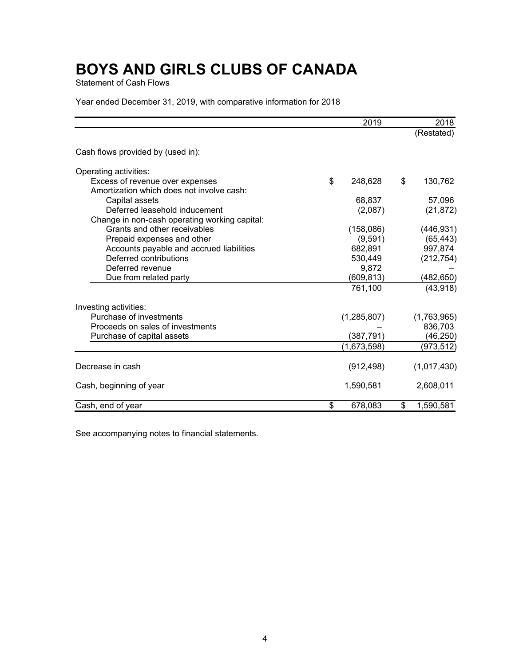Statement of Cash Flows

Year ended December 31, 2019, with comparative information for 2018

|                                               | 2019          | 2018            |
|-----------------------------------------------|---------------|-----------------|
|                                               |               | (Restated)      |
| Cash flows provided by (used in):             |               |                 |
| Operating activities:                         |               |                 |
| Excess of revenue over expenses               | \$<br>248,628 | \$<br>130,762   |
| Amortization which does not involve cash:     |               |                 |
| Capital assets                                | 68,837        | 57,096          |
| Deferred leasehold inducement                 | (2,087)       | (21, 872)       |
| Change in non-cash operating working capital: |               |                 |
| Grants and other receivables                  | (158,086)     | (446, 931)      |
| Prepaid expenses and other                    | (9,591)       | (65, 443)       |
| Accounts payable and accrued liabilities      | 682,891       | 997,874         |
| Deferred contributions                        | 530,449       | (212, 754)      |
| Deferred revenue                              | 9,872         |                 |
| Due from related party                        | (609,813)     | (482,650)       |
|                                               | 761,100       | (43, 918)       |
| Investing activities:                         |               |                 |
| Purchase of investments                       | (1, 285, 807) | (1,763,965)     |
| Proceeds on sales of investments              |               | 836,703         |
| Purchase of capital assets                    | (387, 791)    | (46,250)        |
|                                               | (1,673,598)   | (973,512)       |
| Decrease in cash                              | (912, 498)    | (1,017,430)     |
| Cash, beginning of year                       | 1,590,581     | 2,608,011       |
| Cash, end of year                             | \$<br>678,083 | \$<br>1,590,581 |

See accompanying notes to financial statements.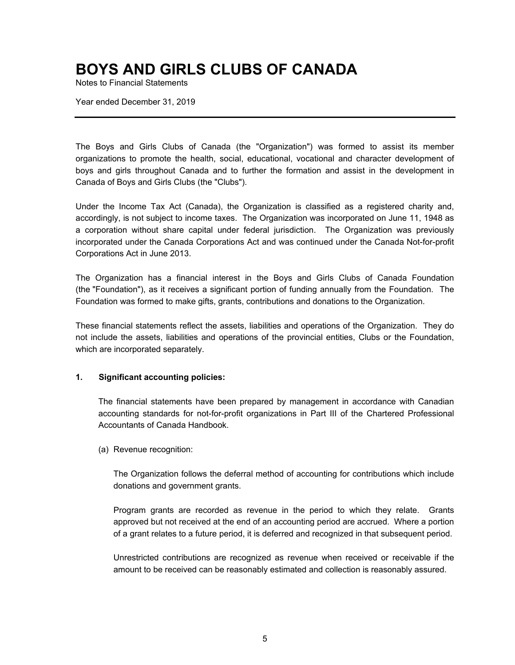Notes to Financial Statements

Year ended December 31, 2019

The Boys and Girls Clubs of Canada (the "Organization") was formed to assist its member organizations to promote the health, social, educational, vocational and character development of boys and girls throughout Canada and to further the formation and assist in the development in Canada of Boys and Girls Clubs (the "Clubs").

Under the Income Tax Act (Canada), the Organization is classified as a registered charity and, accordingly, is not subject to income taxes. The Organization was incorporated on June 11, 1948 as a corporation without share capital under federal jurisdiction. The Organization was previously incorporated under the Canada Corporations Act and was continued under the Canada Not-for-profit Corporations Act in June 2013.

The Organization has a financial interest in the Boys and Girls Clubs of Canada Foundation (the "Foundation"), as it receives a significant portion of funding annually from the Foundation. The Foundation was formed to make gifts, grants, contributions and donations to the Organization.

These financial statements reflect the assets, liabilities and operations of the Organization. They do not include the assets, liabilities and operations of the provincial entities, Clubs or the Foundation, which are incorporated separately.

#### **1. Significant accounting policies:**

The financial statements have been prepared by management in accordance with Canadian accounting standards for not-for-profit organizations in Part III of the Chartered Professional Accountants of Canada Handbook.

(a) Revenue recognition:

The Organization follows the deferral method of accounting for contributions which include donations and government grants.

Program grants are recorded as revenue in the period to which they relate. Grants approved but not received at the end of an accounting period are accrued. Where a portion of a grant relates to a future period, it is deferred and recognized in that subsequent period.

Unrestricted contributions are recognized as revenue when received or receivable if the amount to be received can be reasonably estimated and collection is reasonably assured.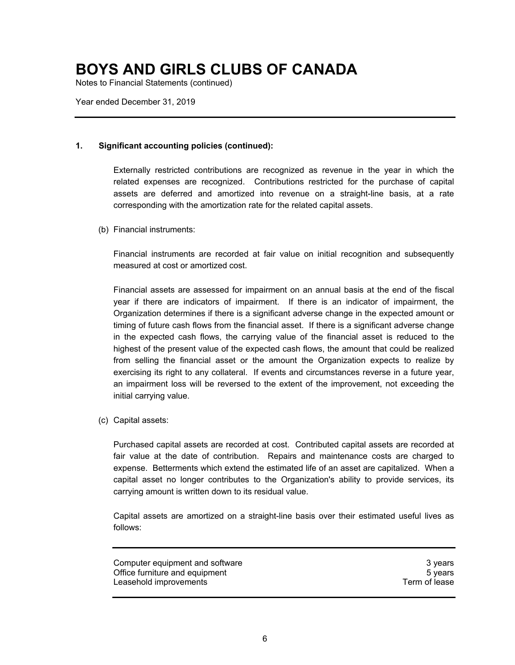Notes to Financial Statements (continued)

Year ended December 31, 2019

### **1. Significant accounting policies (continued):**

Externally restricted contributions are recognized as revenue in the year in which the related expenses are recognized. Contributions restricted for the purchase of capital assets are deferred and amortized into revenue on a straight-line basis, at a rate corresponding with the amortization rate for the related capital assets.

(b) Financial instruments:

Financial instruments are recorded at fair value on initial recognition and subsequently measured at cost or amortized cost.

Financial assets are assessed for impairment on an annual basis at the end of the fiscal year if there are indicators of impairment. If there is an indicator of impairment, the Organization determines if there is a significant adverse change in the expected amount or timing of future cash flows from the financial asset. If there is a significant adverse change in the expected cash flows, the carrying value of the financial asset is reduced to the highest of the present value of the expected cash flows, the amount that could be realized from selling the financial asset or the amount the Organization expects to realize by exercising its right to any collateral. If events and circumstances reverse in a future year, an impairment loss will be reversed to the extent of the improvement, not exceeding the initial carrying value.

(c) Capital assets:

Purchased capital assets are recorded at cost. Contributed capital assets are recorded at fair value at the date of contribution. Repairs and maintenance costs are charged to expense. Betterments which extend the estimated life of an asset are capitalized. When a capital asset no longer contributes to the Organization's ability to provide services, its carrying amount is written down to its residual value.

Capital assets are amortized on a straight-line basis over their estimated useful lives as follows:

Computer equipment and software 3 years 3 years 3 years Office furniture and equipment 5 years 5 years 5 years 5 years 5 years 5 years 5 years 5 years 5 years 5 years Leasehold improvements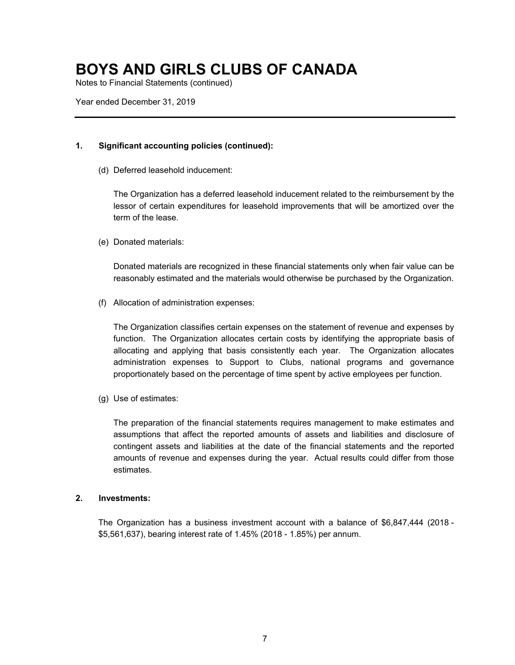Notes to Financial Statements (continued)

Year ended December 31, 2019

#### **1. Significant accounting policies (continued):**

(d) Deferred leasehold inducement:

The Organization has a deferred leasehold inducement related to the reimbursement by the lessor of certain expenditures for leasehold improvements that will be amortized over the term of the lease.

(e) Donated materials:

Donated materials are recognized in these financial statements only when fair value can be reasonably estimated and the materials would otherwise be purchased by the Organization.

(f) Allocation of administration expenses:

The Organization classifies certain expenses on the statement of revenue and expenses by function. The Organization allocates certain costs by identifying the appropriate basis of allocating and applying that basis consistently each year. The Organization allocates administration expenses to Support to Clubs, national programs and governance proportionately based on the percentage of time spent by active employees per function.

(g) Use of estimates:

The preparation of the financial statements requires management to make estimates and assumptions that affect the reported amounts of assets and liabilities and disclosure of contingent assets and liabilities at the date of the financial statements and the reported amounts of revenue and expenses during the year. Actual results could differ from those estimates.

#### **2. Investments:**

The Organization has a business investment account with a balance of \$6,847,444 (2018 - \$5,561,637), bearing interest rate of 1.45% (2018 - 1.85%) per annum.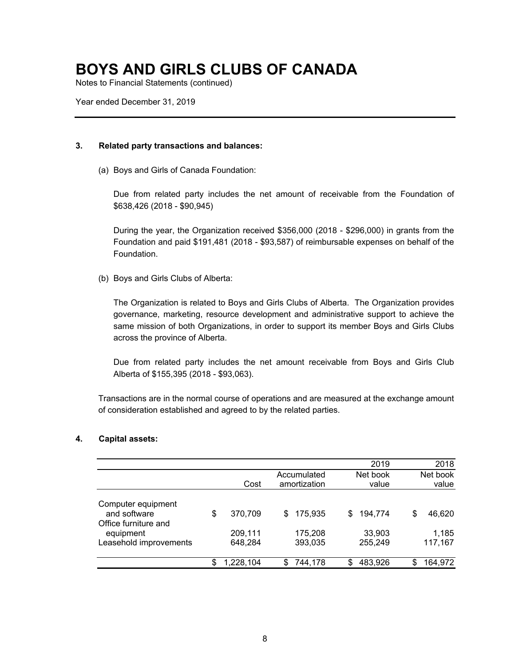Notes to Financial Statements (continued)

Year ended December 31, 2019

#### **3. Related party transactions and balances:**

(a) Boys and Girls of Canada Foundation:

Due from related party includes the net amount of receivable from the Foundation of \$638,426 (2018 - \$90,945)

During the year, the Organization received \$356,000 (2018 - \$296,000) in grants from the Foundation and paid \$191,481 (2018 - \$93,587) of reimbursable expenses on behalf of the Foundation.

(b) Boys and Girls Clubs of Alberta:

The Organization is related to Boys and Girls Clubs of Alberta. The Organization provides governance, marketing, resource development and administrative support to achieve the same mission of both Organizations, in order to support its member Boys and Girls Clubs across the province of Alberta.

Due from related party includes the net amount receivable from Boys and Girls Club Alberta of \$155,395 (2018 - \$93,063).

Transactions are in the normal course of operations and are measured at the exchange amount of consideration established and agreed to by the related parties.

#### **4. Capital assets:**

|                                                             |                    |    |                             |     | 2019              | 2018              |
|-------------------------------------------------------------|--------------------|----|-----------------------------|-----|-------------------|-------------------|
|                                                             | Cost               |    | Accumulated<br>amortization |     | Net book<br>value | Net book<br>value |
| Computer equipment<br>and software                          | \$<br>370,709      | S  | 175,935                     | S   | 194,774           | \$<br>46,620      |
| Office furniture and<br>equipment<br>Leasehold improvements | 209,111<br>648,284 |    | 175,208<br>393,035          |     | 33,903<br>255,249 | 1,185<br>117,167  |
|                                                             | \$<br>1,228,104    | \$ | 744,178                     | \$. | 483,926           | \$<br>164,972     |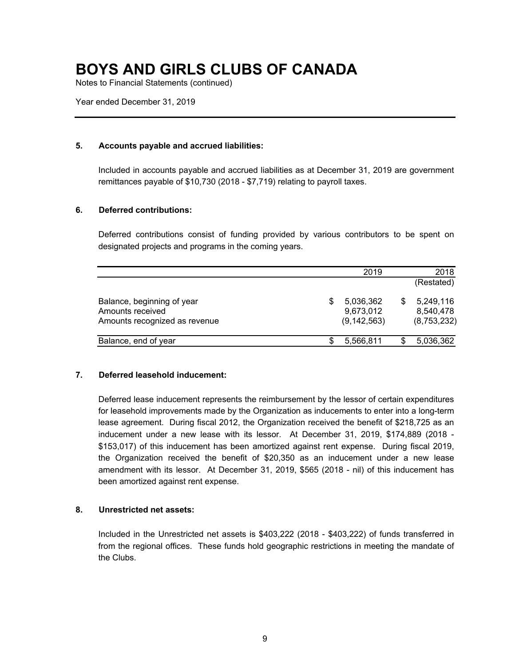Notes to Financial Statements (continued)

Year ended December 31, 2019

#### **5. Accounts payable and accrued liabilities:**

Included in accounts payable and accrued liabilities as at December 31, 2019 are government remittances payable of \$10,730 (2018 - \$7,719) relating to payroll taxes.

#### **6. Deferred contributions:**

Deferred contributions consist of funding provided by various contributors to be spent on designated projects and programs in the coming years.

|                                                                                 |   | 2019                                    | 2018                                  |
|---------------------------------------------------------------------------------|---|-----------------------------------------|---------------------------------------|
|                                                                                 |   |                                         | (Restated)                            |
| Balance, beginning of year<br>Amounts received<br>Amounts recognized as revenue | S | 5,036,362<br>9,673,012<br>(9, 142, 563) | 5,249,116<br>8,540,478<br>(8,753,232) |
| Balance, end of year                                                            |   | 5,566,811                               | 5,036,362                             |

### **7. Deferred leasehold inducement:**

Deferred lease inducement represents the reimbursement by the lessor of certain expenditures for leasehold improvements made by the Organization as inducements to enter into a long-term lease agreement. During fiscal 2012, the Organization received the benefit of \$218,725 as an inducement under a new lease with its lessor. At December 31, 2019, \$174,889 (2018 - \$153,017) of this inducement has been amortized against rent expense. During fiscal 2019, the Organization received the benefit of \$20,350 as an inducement under a new lease amendment with its lessor. At December 31, 2019, \$565 (2018 - nil) of this inducement has been amortized against rent expense.

### **8. Unrestricted net assets:**

Included in the Unrestricted net assets is \$403,222 (2018 - \$403,222) of funds transferred in from the regional offices. These funds hold geographic restrictions in meeting the mandate of the Clubs.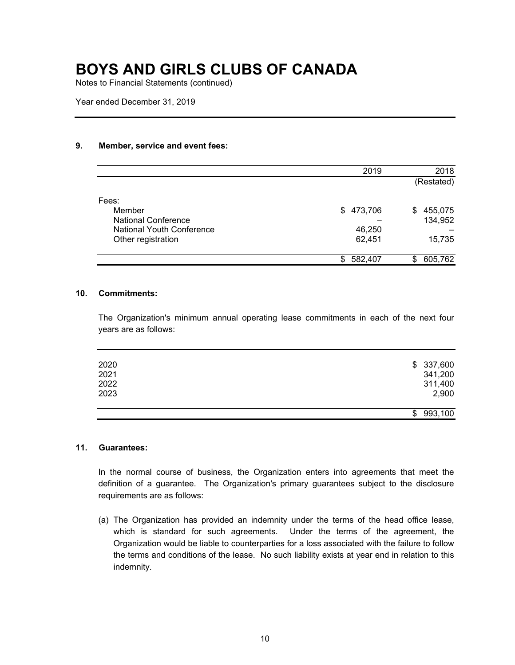Notes to Financial Statements (continued)

Year ended December 31, 2019

#### **9. Member, service and event fees:**

|                                  | 2019           | 2018          |
|----------------------------------|----------------|---------------|
|                                  |                | (Restated)    |
| Fees:                            |                |               |
| Member                           | \$473,706      | 455,075<br>S  |
| <b>National Conference</b>       |                | 134,952       |
| <b>National Youth Conference</b> | 46,250         |               |
| Other registration               | 62,451         | 15,735        |
|                                  | 582,407<br>\$. | 605,762<br>\$ |

#### **10. Commitments:**

The Organization's minimum annual operating lease commitments in each of the next four years are as follows:

| 2020 | \$337,600     |
|------|---------------|
| 2021 | 341,200       |
| 2022 | 311,400       |
| 2023 | 2,900         |
|      | 993,100<br>\$ |

### **11. Guarantees:**

In the normal course of business, the Organization enters into agreements that meet the definition of a guarantee. The Organization's primary guarantees subject to the disclosure requirements are as follows:

(a) The Organization has provided an indemnity under the terms of the head office lease, which is standard for such agreements. Under the terms of the agreement, the Organization would be liable to counterparties for a loss associated with the failure to follow the terms and conditions of the lease. No such liability exists at year end in relation to this indemnity.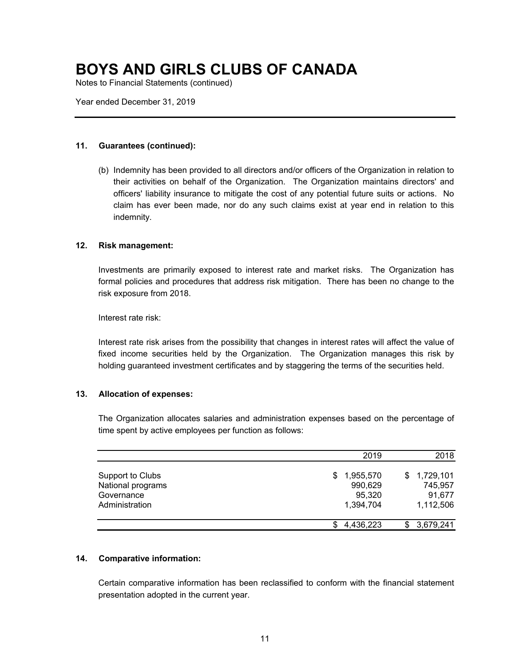Notes to Financial Statements (continued)

Year ended December 31, 2019

#### **11. Guarantees (continued):**

(b) Indemnity has been provided to all directors and/or officers of the Organization in relation to their activities on behalf of the Organization. The Organization maintains directors' and officers' liability insurance to mitigate the cost of any potential future suits or actions. No claim has ever been made, nor do any such claims exist at year end in relation to this indemnity.

### **12. Risk management:**

Investments are primarily exposed to interest rate and market risks. The Organization has formal policies and procedures that address risk mitigation. There has been no change to the risk exposure from 2018.

Interest rate risk:

Interest rate risk arises from the possibility that changes in interest rates will affect the value of fixed income securities held by the Organization. The Organization manages this risk by holding guaranteed investment certificates and by staggering the terms of the securities held.

### **13. Allocation of expenses:**

The Organization allocates salaries and administration expenses based on the percentage of time spent by active employees per function as follows:

|                   | 2019           | 2018            |
|-------------------|----------------|-----------------|
| Support to Clubs  | 1,955,570<br>S | 1,729,101<br>S. |
| National programs | 990,629        | 745,957         |
| Governance        | 95,320         | 91,677          |
| Administration    | 1,394,704      | 1,112,506       |
|                   | 4.436.223      | 3,679,241       |
|                   |                |                 |

### **14. Comparative information:**

Certain comparative information has been reclassified to conform with the financial statement presentation adopted in the current year.